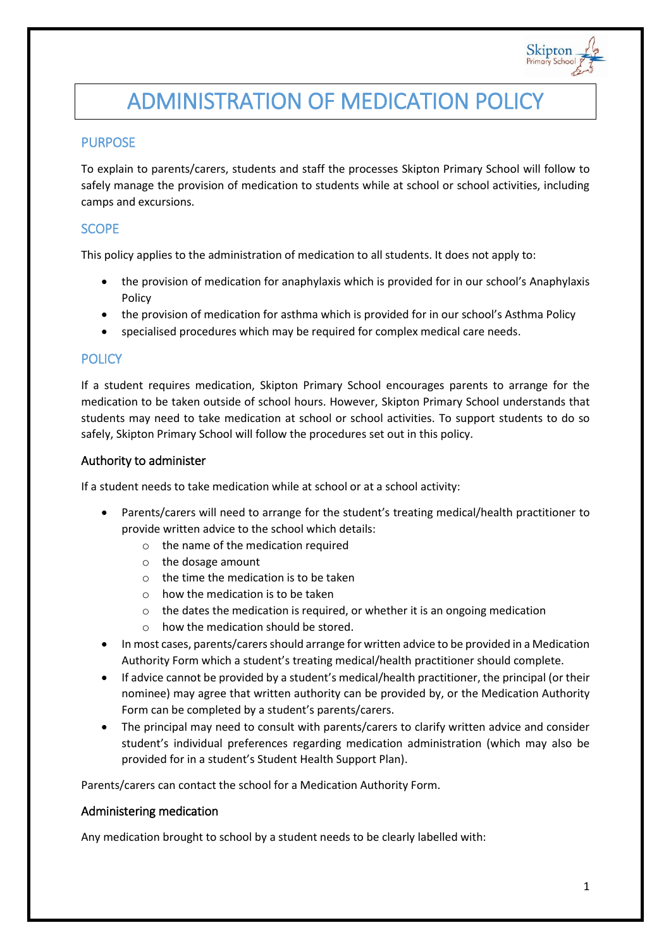

# ADMINISTRATION OF MEDICATION POLICY

## PURPOSE

To explain to parents/carers, students and staff the processes Skipton Primary School will follow to safely manage the provision of medication to students while at school or school activities, including camps and excursions.

## **SCOPE**

This policy applies to the administration of medication to all students. It does not apply to:

- the provision of medication for anaphylaxis which is provided for in our school's Anaphylaxis Policy
- the provision of medication for asthma which is provided for in our school's Asthma Policy
- specialised procedures which may be required for complex medical care needs.

## **POLICY**

If a student requires medication, Skipton Primary School encourages parents to arrange for the medication to be taken outside of school hours. However, Skipton Primary School understands that students may need to take medication at school or school activities. To support students to do so safely, Skipton Primary School will follow the procedures set out in this policy.

#### Authority to administer

If a student needs to take medication while at school or at a school activity:

- Parents/carers will need to arrange for the student's treating medical/health practitioner to provide written advice to the school which details:
	- o the name of the medication required
	- o the dosage amount
	- $\circ$  the time the medication is to be taken
	- o how the medication is to be taken
	- o the dates the medication is required, or whether it is an ongoing medication
	- o how the medication should be stored.
- In most cases, parents/carers should arrange for written advice to be provided in a Medication Authority Form which a student's treating medical/health practitioner should complete.
- If advice cannot be provided by a student's medical/health practitioner, the principal (or their nominee) may agree that written authority can be provided by, or the Medication Authority Form can be completed by a student's parents/carers.
- The principal may need to consult with parents/carers to clarify written advice and consider student's individual preferences regarding medication administration (which may also be provided for in a student's Student Health Support Plan).

Parents/carers can contact the school for a Medication Authority Form.

## Administering medication

Any medication brought to school by a student needs to be clearly labelled with: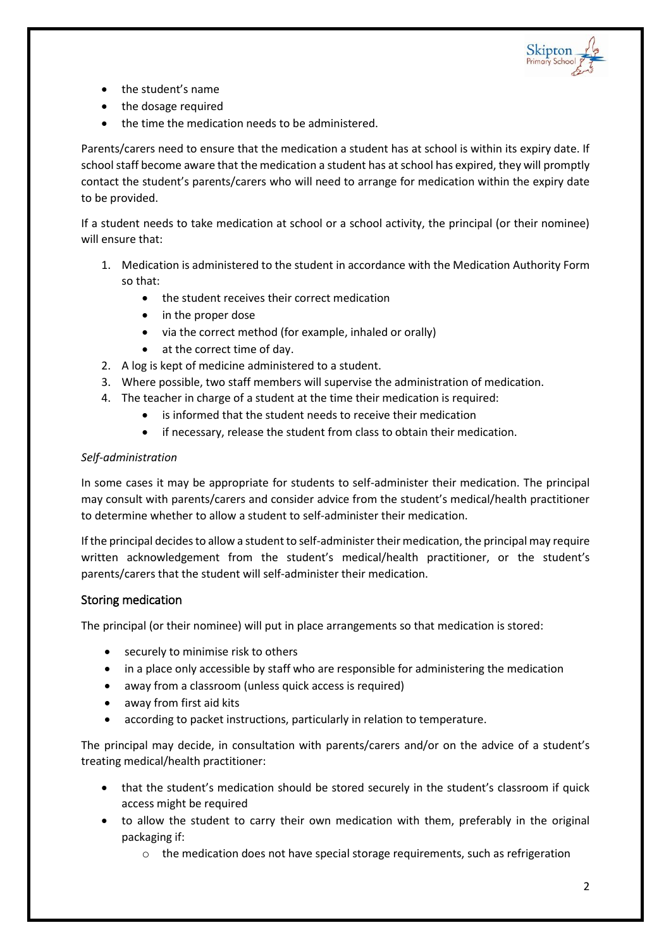

- the student's name
- the dosage required
- the time the medication needs to be administered.

Parents/carers need to ensure that the medication a student has at school is within its expiry date. If school staff become aware that the medication a student has at school has expired, they will promptly contact the student's parents/carers who will need to arrange for medication within the expiry date to be provided.

If a student needs to take medication at school or a school activity, the principal (or their nominee) will ensure that:

- 1. Medication is administered to the student in accordance with the Medication Authority Form so that:
	- the student receives their correct medication
	- in the proper dose
	- via the correct method (for example, inhaled or orally)
	- at the correct time of day.
- 2. A log is kept of medicine administered to a student.
- 3. Where possible, two staff members will supervise the administration of medication.
- 4. The teacher in charge of a student at the time their medication is required:
	- is informed that the student needs to receive their medication
	- if necessary, release the student from class to obtain their medication.

## *Self-administration*

In some cases it may be appropriate for students to self-administer their medication. The principal may consult with parents/carers and consider advice from the student's medical/health practitioner to determine whether to allow a student to self-administer their medication.

If the principal decides to allow a student to self-administer their medication, the principal may require written acknowledgement from the student's medical/health practitioner, or the student's parents/carers that the student will self-administer their medication.

## Storing medication

The principal (or their nominee) will put in place arrangements so that medication is stored:

- securely to minimise risk to others
- in a place only accessible by staff who are responsible for administering the medication
- away from a classroom (unless quick access is required)
- away from first aid kits
- according to packet instructions, particularly in relation to temperature.

The principal may decide, in consultation with parents/carers and/or on the advice of a student's treating medical/health practitioner:

- that the student's medication should be stored securely in the student's classroom if quick access might be required
- to allow the student to carry their own medication with them, preferably in the original packaging if:
	- $\circ$  the medication does not have special storage requirements, such as refrigeration